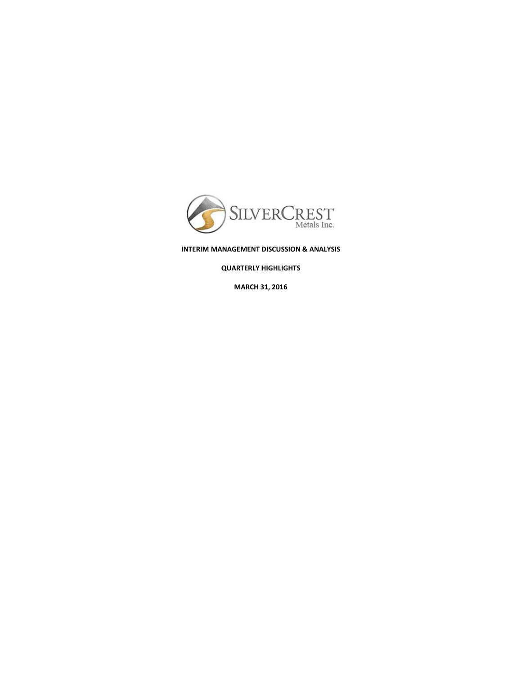

# **INTERIM MANAGEMENT DISCUSSION & ANALYSIS**

**QUARTERLY HIGHLIGHTS** 

**MARCH 31, 2016**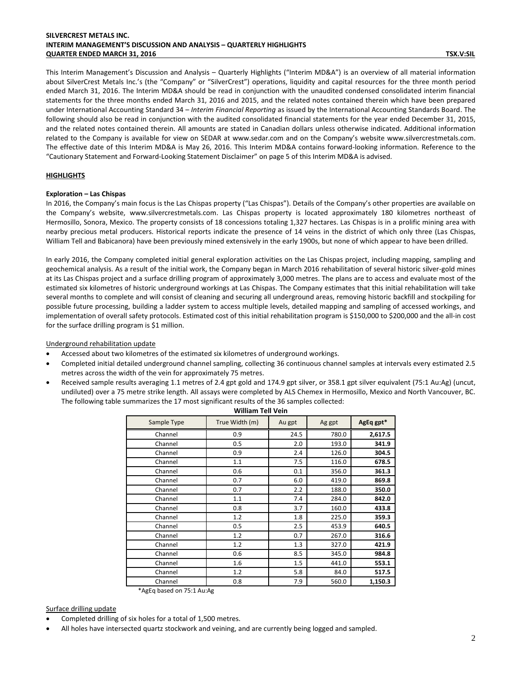# **SILVERCREST METALS INC. INTERIM MANAGEMENT'S DISCUSSION AND ANALYSIS – QUARTERLY HIGHLIGHTS QUARTER ENDED MARCH 31, 2016 TSX.V:SIL**

This Interim Management's Discussion and Analysis – Quarterly Highlights ("Interim MD&A") is an overview of all material information about SilverCrest Metals Inc.'s (the "Company" or "SilverCrest") operations, liquidity and capital resources for the three month period ended March 31, 2016. The Interim MD&A should be read in conjunction with the unaudited condensed consolidated interim financial statements for the three months ended March 31, 2016 and 2015, and the related notes contained therein which have been prepared under International Accounting Standard 34 – *Interim Financial Reporting* as issued by the International Accounting Standards Board. The following should also be read in conjunction with the audited consolidated financial statements for the year ended December 31, 2015, and the related notes contained therein. All amounts are stated in Canadian dollars unless otherwise indicated. Additional information related to the Company is available for view on SEDAR at [www.sedar.com](http://www.sedar.com/) and on the Company's website [www.silvercrestmetals.com.](http://www.silvercrestmetals.com/) The effective date of this Interim MD&A is May 26, 2016. This Interim MD&A contains forward-looking information. Reference to the "Cautionary Statement and Forward-Looking Statement Disclaimer" on page 5 of this Interim MD&A is advised.

# **HIGHLIGHTS**

# **Exploration – Las Chispas**

In 2016, the Company's main focus is the Las Chispas property ("Las Chispas"). Details of the Company's other properties are available on the Company's website, [www.silvercrestmetals.com.](http://www.silvercrestmetals.com/) Las Chispas property is located approximately 180 kilometres northeast of Hermosillo, Sonora, Mexico. The property consists of 18 concessions totaling 1,327 hectares. Las Chispas is in a prolific mining area with nearby precious metal producers. Historical reports indicate the presence of 14 veins in the district of which only three (Las Chispas, William Tell and Babicanora) have been previously mined extensively in the early 1900s, but none of which appear to have been drilled.

In early 2016, the Company completed initial general exploration activities on the Las Chispas project, including mapping, sampling and geochemical analysis. As a result of the initial work, the Company began in March 2016 rehabilitation of several historic silver-gold mines at its Las Chispas project and a surface drilling program of approximately 3,000 metres. The plans are to access and evaluate most of the estimated six kilometres of historic underground workings at Las Chispas. The Company estimates that this initial rehabilitation will take several months to complete and will consist of cleaning and securing all underground areas, removing historic backfill and stockpiling for possible future processing, building a ladder system to access multiple levels, detailed mapping and sampling of accessed workings, and implementation of overall safety protocols. Estimated cost of this initial rehabilitation program is \$150,000 to \$200,000 and the all-in cost for the surface drilling program is \$1 million.

Underground rehabilitation update

- Accessed about two kilometres of the estimated six kilometres of underground workings.
- Completed initial detailed underground channel sampling, collecting 36 continuous channel samples at intervals every estimated 2.5 metres across the width of the vein for approximately 75 metres.
- Received sample results averaging 1.1 metres of 2.4 gpt gold and 174.9 gpt silver, or 358.1 gpt silver equivalent (75:1 Au:Ag) (uncut, undiluted) over a 75 metre strike length. All assays were completed by ALS Chemex in Hermosillo, Mexico and North Vancouver, BC. The following table summarizes the 17 most significant results of the 36 samples collected:

| william Tell vein                         |                |        |        |           |
|-------------------------------------------|----------------|--------|--------|-----------|
| Sample Type                               | True Width (m) | Au gpt | Ag gpt | AgEq gpt* |
| Channel                                   | 0.9            | 24.5   | 780.0  | 2,617.5   |
| Channel                                   | 0.5            | 2.0    | 193.0  | 341.9     |
| Channel                                   | 0.9            | 2.4    | 126.0  | 304.5     |
| Channel                                   | 1.1            | 7.5    | 116.0  | 678.5     |
| Channel                                   | 0.6            | 0.1    | 356.0  | 361.3     |
| Channel                                   | 0.7            | 6.0    | 419.0  | 869.8     |
| Channel                                   | 0.7            | 2.2    | 188.0  | 350.0     |
| Channel                                   | 1.1            | 7.4    | 284.0  | 842.0     |
| Channel                                   | 0.8            | 3.7    | 160.0  | 433.8     |
| Channel                                   | 1.2            | 1.8    | 225.0  | 359.3     |
| Channel                                   | 0.5            | 2.5    | 453.9  | 640.5     |
| Channel                                   | 1.2            | 0.7    | 267.0  | 316.6     |
| Channel                                   | 1.2            | 1.3    | 327.0  | 421.9     |
| Channel                                   | 0.6            | 8.5    | 345.0  | 984.8     |
| Channel                                   | 1.6            | 1.5    | 441.0  | 553.1     |
| Channel                                   | 1.2            | 5.8    | 84.0   | 517.5     |
| Channel<br>$\frac{1}{2}$<br>$- - - - - -$ | 0.8            | 7.9    | 560.0  | 1,150.3   |

**William Tell Vein**

\*AgEq based on 75:1 Au:Ag

# Surface drilling update

- Completed drilling of six holes for a total of 1,500 metres.
- All holes have intersected quartz stockwork and veining, and are currently being logged and sampled.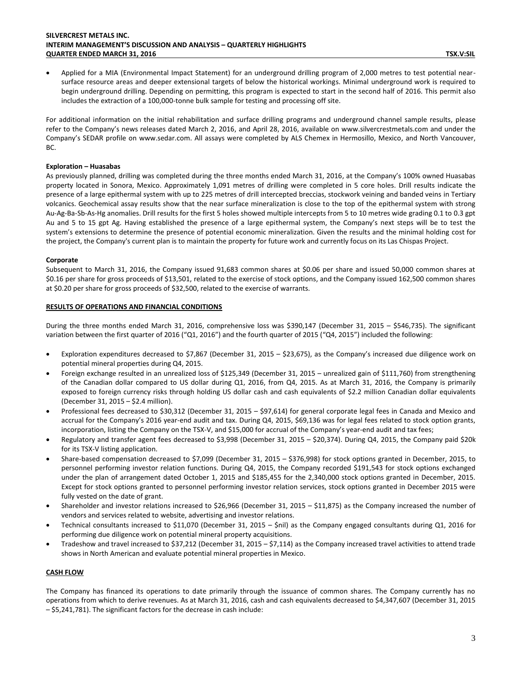Applied for a MIA (Environmental Impact Statement) for an underground drilling program of 2,000 metres to test potential nearsurface resource areas and deeper extensional targets of below the historical workings. Minimal underground work is required to begin underground drilling. Depending on permitting, this program is expected to start in the second half of 2016. This permit also includes the extraction of a 100,000-tonne bulk sample for testing and processing off site.

For additional information on the initial rehabilitation and surface drilling programs and underground channel sample results, please refer to the Company's news releases dated March 2, 2016, and April 28, 2016, available on [www.silvercrestmetals.com](http://www.silvercrestmetals.com/) and under the Company's SEDAR profile on [www.sedar.com.](http://www.sedar.com/) All assays were completed by ALS Chemex in Hermosillo, Mexico, and North Vancouver, BC.

# **Exploration – Huasabas**

As previously planned, drilling was completed during the three months ended March 31, 2016, at the Company's 100% owned Huasabas property located in Sonora, Mexico. Approximately 1,091 metres of drilling were completed in 5 core holes. Drill results indicate the presence of a large epithermal system with up to 225 metres of drill intercepted breccias, stockwork veining and banded veins in Tertiary volcanics. Geochemical assay results show that the near surface mineralization is close to the top of the epithermal system with strong Au-Ag-Ba-Sb-As-Hg anomalies. Drill results for the first 5 holes showed multiple intercepts from 5 to 10 metres wide grading 0.1 to 0.3 gpt Au and 5 to 15 gpt Ag. Having established the presence of a large epithermal system, the Company's next steps will be to test the system's extensions to determine the presence of potential economic mineralization. Given the results and the minimal holding cost for the project, the Company's current plan is to maintain the property for future work and currently focus on its Las Chispas Project.

#### **Corporate**

Subsequent to March 31, 2016, the Company issued 91,683 common shares at \$0.06 per share and issued 50,000 common shares at \$0.16 per share for gross proceeds of \$13,501, related to the exercise of stock options, and the Company issued 162,500 common shares at \$0.20 per share for gross proceeds of \$32,500, related to the exercise of warrants.

# **RESULTS OF OPERATIONS AND FINANCIAL CONDITIONS**

During the three months ended March 31, 2016, comprehensive loss was \$390,147 (December 31, 2015 – \$546,735). The significant variation between the first quarter of 2016 ("Q1, 2016") and the fourth quarter of 2015 ("Q4, 2015") included the following:

- Exploration expenditures decreased to \$7,867 (December 31, 2015 \$23,675), as the Company's increased due diligence work on potential mineral properties during Q4, 2015.
- Foreign exchange resulted in an unrealized loss of \$125,349 (December 31, 2015 unrealized gain of \$111,760) from strengthening of the Canadian dollar compared to US dollar during Q1, 2016, from Q4, 2015. As at March 31, 2016, the Company is primarily exposed to foreign currency risks through holding US dollar cash and cash equivalents of \$2.2 million Canadian dollar equivalents (December 31, 2015 – \$2.4 million).
- Professional fees decreased to \$30,312 (December 31, 2015 \$97,614) for general corporate legal fees in Canada and Mexico and accrual for the Company's 2016 year-end audit and tax. During Q4, 2015, \$69,136 was for legal fees related to stock option grants, incorporation, listing the Company on the TSX-V, and \$15,000 for accrual of the Company's year-end audit and tax fees;
- Regulatory and transfer agent fees decreased to \$3,998 (December 31, 2015 \$20,374). During Q4, 2015, the Company paid \$20k for its TSX-V listing application.
- Share-based compensation decreased to \$7,099 (December 31, 2015 \$376,998) for stock options granted in December, 2015, to personnel performing investor relation functions. During Q4, 2015, the Company recorded \$191,543 for stock options exchanged under the plan of arrangement dated October 1, 2015 and \$185,455 for the 2,340,000 stock options granted in December, 2015. Except for stock options granted to personnel performing investor relation services, stock options granted in December 2015 were fully vested on the date of grant.
- Shareholder and investor relations increased to \$26,966 (December 31, 2015 \$11,875) as the Company increased the number of vendors and services related to website, advertising and investor relations.
- Technical consultants increased to \$11,070 (December 31, 2015 \$nil) as the Company engaged consultants during Q1, 2016 for performing due diligence work on potential mineral property acquisitions.
- Tradeshow and travel increased to \$37,212 (December 31, 2015 \$7,114) as the Company increased travel activities to attend trade shows in North American and evaluate potential mineral properties in Mexico.

# **CASH FLOW**

The Company has financed its operations to date primarily through the issuance of common shares. The Company currently has no operations from which to derive revenues. As at March 31, 2016, cash and cash equivalents decreased to \$4,347,607 (December 31, 2015 – \$5,241,781). The significant factors for the decrease in cash include: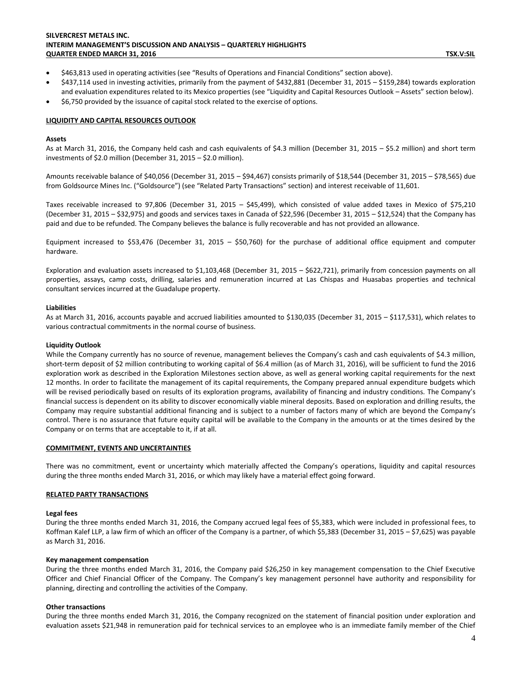# **SILVERCREST METALS INC. INTERIM MANAGEMENT'S DISCUSSION AND ANALYSIS – QUARTERLY HIGHLIGHTS QUARTER ENDED MARCH 31, 2016 TSX.V:SIL**

- \$463,813 used in operating activities (see "Results of Operations and Financial Conditions" section above).
- \$437,114 used in investing activities, primarily from the payment of \$432,881 (December 31, 2015 \$159,284) towards exploration and evaluation expenditures related to its Mexico properties (see "Liquidity and Capital Resources Outlook – Assets" section below).
- \$6,750 provided by the issuance of capital stock related to the exercise of options.

# **LIQUIDITY AND CAPITAL RESOURCES OUTLOOK**

#### **Assets**

As at March 31, 2016, the Company held cash and cash equivalents of \$4.3 million (December 31, 2015 – \$5.2 million) and short term investments of \$2.0 million (December 31, 2015 – \$2.0 million).

Amounts receivable balance of \$40,056 (December 31, 2015 – \$94,467) consists primarily of \$18,544 (December 31, 2015 – \$78,565) due from Goldsource Mines Inc. ("Goldsource") (see "Related Party Transactions" section) and interest receivable of 11,601.

Taxes receivable increased to 97,806 (December 31, 2015 – \$45,499), which consisted of value added taxes in Mexico of \$75,210 (December 31, 2015 – \$32,975) and goods and services taxes in Canada of \$22,596 (December 31, 2015 – \$12,524) that the Company has paid and due to be refunded. The Company believes the balance is fully recoverable and has not provided an allowance.

Equipment increased to \$53,476 (December 31, 2015 – \$50,760) for the purchase of additional office equipment and computer hardware.

Exploration and evaluation assets increased to \$1,103,468 (December 31, 2015 – \$622,721), primarily from concession payments on all properties, assays, camp costs, drilling, salaries and remuneration incurred at Las Chispas and Huasabas properties and technical consultant services incurred at the Guadalupe property.

#### **Liabilities**

As at March 31, 2016, accounts payable and accrued liabilities amounted to \$130,035 (December 31, 2015 – \$117,531), which relates to various contractual commitments in the normal course of business.

# **Liquidity Outlook**

While the Company currently has no source of revenue, management believes the Company's cash and cash equivalents of \$4.3 million, short-term deposit of \$2 million contributing to working capital of \$6.4 million (as of March 31, 2016), will be sufficient to fund the 2016 exploration work as described in the Exploration Milestones section above, as well as general working capital requirements for the next 12 months. In order to facilitate the management of its capital requirements, the Company prepared annual expenditure budgets which will be revised periodically based on results of its exploration programs, availability of financing and industry conditions. The Company's financial success is dependent on its ability to discover economically viable mineral deposits. Based on exploration and drilling results, the Company may require substantial additional financing and is subject to a number of factors many of which are beyond the Company's control. There is no assurance that future equity capital will be available to the Company in the amounts or at the times desired by the Company or on terms that are acceptable to it, if at all.

# **COMMITMENT, EVENTS AND UNCERTAINTIES**

There was no commitment, event or uncertainty which materially affected the Company's operations, liquidity and capital resources during the three months ended March 31, 2016, or which may likely have a material effect going forward.

#### **RELATED PARTY TRANSACTIONS**

# **Legal fees**

During the three months ended March 31, 2016, the Company accrued legal fees of \$5,383, which were included in professional fees, to Koffman Kalef LLP, a law firm of which an officer of the Company is a partner, of which \$5,383 (December 31, 2015 – \$7,625) was payable as March 31, 2016.

#### **Key management compensation**

During the three months ended March 31, 2016, the Company paid \$26,250 in key management compensation to the Chief Executive Officer and Chief Financial Officer of the Company. The Company's key management personnel have authority and responsibility for planning, directing and controlling the activities of the Company.

# **Other transactions**

During the three months ended March 31, 2016, the Company recognized on the statement of financial position under exploration and evaluation assets \$21,948 in remuneration paid for technical services to an employee who is an immediate family member of the Chief